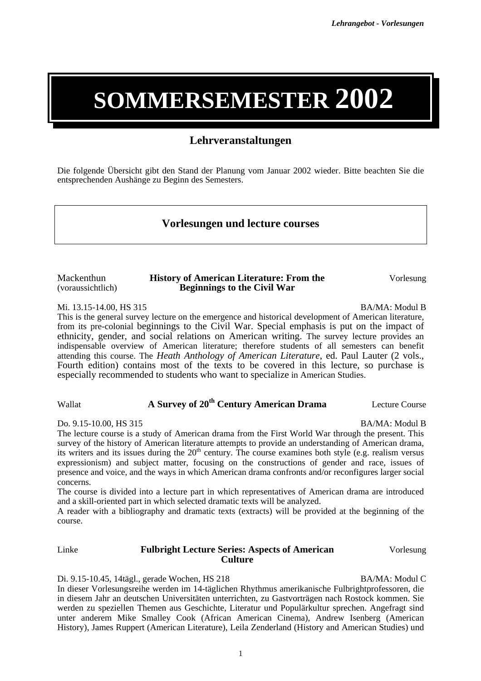# **SOMMERSEMESTER 2002**

### **Lehrveranstaltungen**

Die folgende Übersicht gibt den Stand der Planung vom Januar 2002 wieder. Bitte beachten Sie die entsprechenden Aushänge zu Beginn des Semesters.

#### **Vorlesungen und lecture courses**

Mackenthun (voraussichtlich) **History of American Literature: From the Beginnings to the Civil War** 

Mi. 13.15-14.00, HS 315 BA/MA: Modul B

This is the general survey lecture on the emergence and historical development of American literature, from its pre-colonial beginnings to the Civil War. Special emphasis is put on the impact of ethnicity, gender, and social relations on American writing. The survey lecture provides an indispensable overview of American literature; therefore students of all semesters can benefit attending this course. The *Heath Anthology of American Literature*, ed. Paul Lauter (2 vols., Fourth edition) contains most of the texts to be covered in this lecture, so purchase is especially recommended to students who want to specialize in American Studies.

#### Wallat **A Survey of 20th Century American Drama** Lecture Course

Do. 9.15-10.00, HS 315 BA/MA: Modul B

The lecture course is a study of American drama from the First World War through the present. This survey of the history of American literature attempts to provide an understanding of American drama, its writers and its issues during the  $20<sup>th</sup>$  century. The course examines both style (e.g. realism versus expressionism) and subject matter, focusing on the constructions of gender and race, issues of presence and voice, and the ways in which American drama confronts and/or reconfigures larger social concerns.

The course is divided into a lecture part in which representatives of American drama are introduced and a skill-oriented part in which selected dramatic texts will be analyzed.

A reader with a bibliography and dramatic texts (extracts) will be provided at the beginning of the course.

#### Linke **Fulbright Lecture Series: Aspects of American Culture** Vorlesung

Di. 9.15-10.45, 14tägl., gerade Wochen, HS 218 BA/MA: Modul C In dieser Vorlesungsreihe werden im 14-täglichen Rhythmus amerikanische Fulbrightprofessoren, die in diesem Jahr an deutschen Universitäten unterrichten, zu Gastvorträgen nach Rostock kommen. Sie werden zu speziellen Themen aus Geschichte, Literatur und Populärkultur sprechen. Angefragt sind unter anderem Mike Smalley Cook (African American Cinema), Andrew Isenberg (American History), James Ruppert (American Literature), Leila Zenderland (History and American Studies) und

Vorlesung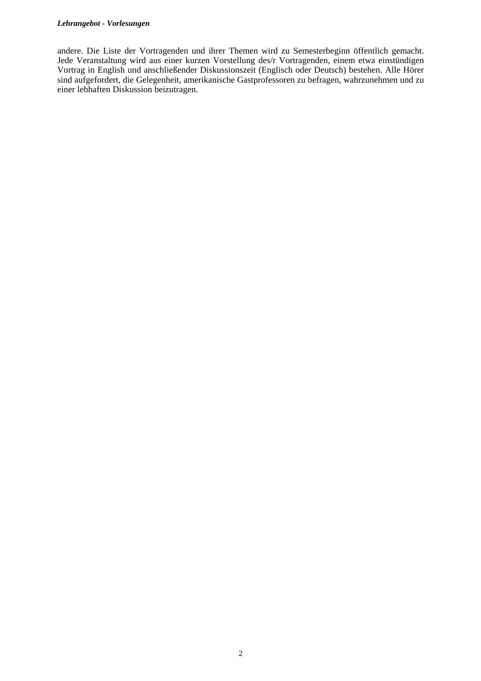#### *Lehrangebot - Vorlesungen*

andere. Die Liste der Vortragenden und ihrer Themen wird zu Semesterbeginn öffentlich gemacht. Jede Veranstaltung wird aus einer kurzen Vorstellung des/r Vortragenden, einem etwa einstündigen Vortrag in English und anschließender Diskussionszeit (Englisch oder Deutsch) bestehen. Alle Hörer sind aufgefordert, die Gelegenheit, amerikanische Gastprofessoren zu befragen, wahrzunehmen und zu einer lebhaften Diskussion beizutragen.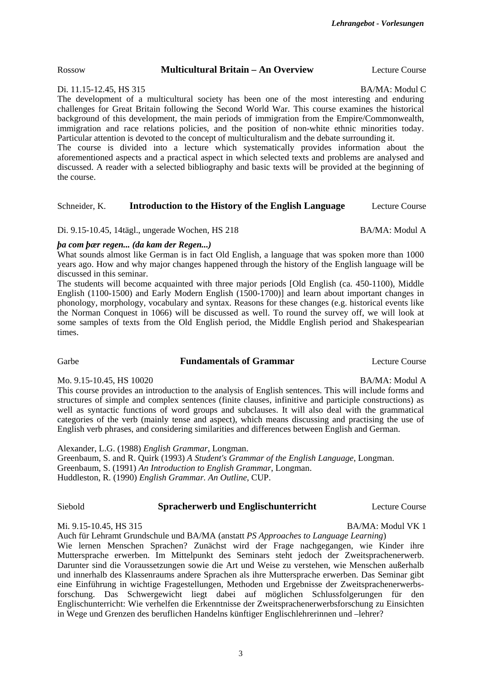Rossow **Multicultural Britain – An Overview** Lecture Course

Di. 11.15-12.45, HS 315 BA/MA: Modul C

The development of a multicultural society has been one of the most interesting and enduring challenges for Great Britain following the Second World War. This course examines the historical background of this development, the main periods of immigration from the Empire/Commonwealth, immigration and race relations policies, and the position of non-white ethnic minorities today. Particular attention is devoted to the concept of multiculturalism and the debate surrounding it. The course is divided into a lecture which systematically provides information about the aforementioned aspects and a practical aspect in which selected texts and problems are analysed and discussed. A reader with a selected bibliography and basic texts will be provided at the beginning of the course.

#### Schneider, K. **Introduction to the History of the English Language** Lecture Course

Di. 9.15-10.45, 14tägl., ungerade Wochen, HS 218 BA/MA: Modul A

*þa com þær regen... (da kam der Regen...)*  What sounds almost like German is in fact Old English, a language that was spoken more than 1000

years ago. How and why major changes happened through the history of the English language will be discussed in this seminar. The students will become acquainted with three major periods [Old English (ca. 450-1100), Middle English (1100-1500) and Early Modern English (1500-1700)] and learn about important changes in phonology, morphology, vocabulary and syntax. Reasons for these changes (e.g. historical events like

the Norman Conquest in 1066) will be discussed as well. To round the survey off, we will look at some samples of texts from the Old English period, the Middle English period and Shakespearian times.

#### Garbe **Fundamentals of Grammar** Lecture Course

Mo. 9.15-10.45, HS 10020 BA/MA: Modul A

This course provides an introduction to the analysis of English sentences. This will include forms and structures of simple and complex sentences (finite clauses, infinitive and participle constructions) as well as syntactic functions of word groups and subclauses. It will also deal with the grammatical categories of the verb (mainly tense and aspect), which means discussing and practising the use of English verb phrases, and considering similarities and differences between English and German.

Alexander, L.G. (1988) *English Grammar*, Longman. Greenbaum, S. and R. Quirk (1993) *A Student's Grammar of the English Language*, Longman. Greenbaum, S. (1991) *An Introduction to English Grammar*, Longman. Huddleston, R. (1990) *English Grammar. An Outline*, CUP.

Siebold **Spracherwerb und Englischunterricht** Lecture Course

Mi. 9.15-10.45, HS 315 BA/MA: Modul VK 1

Auch für Lehramt Grundschule und BA/MA (anstatt *PS Approaches to Language Learning*) Wie lernen Menschen Sprachen? Zunächst wird der Frage nachgegangen, wie Kinder ihre Muttersprache erwerben. Im Mittelpunkt des Seminars steht jedoch der Zweitsprachenerwerb. Darunter sind die Voraussetzungen sowie die Art und Weise zu verstehen, wie Menschen außerhalb und innerhalb des Klassenraums andere Sprachen als ihre Muttersprache erwerben. Das Seminar gibt eine Einführung in wichtige Fragestellungen, Methoden und Ergebnisse der Zweitsprachenerwerbsforschung. Das Schwergewicht liegt dabei auf möglichen Schlussfolgerungen für den Englischunterricht: Wie verhelfen die Erkenntnisse der Zweitsprachenerwerbsforschung zu Einsichten in Wege und Grenzen des beruflichen Handelns künftiger Englischlehrerinnen und –lehrer?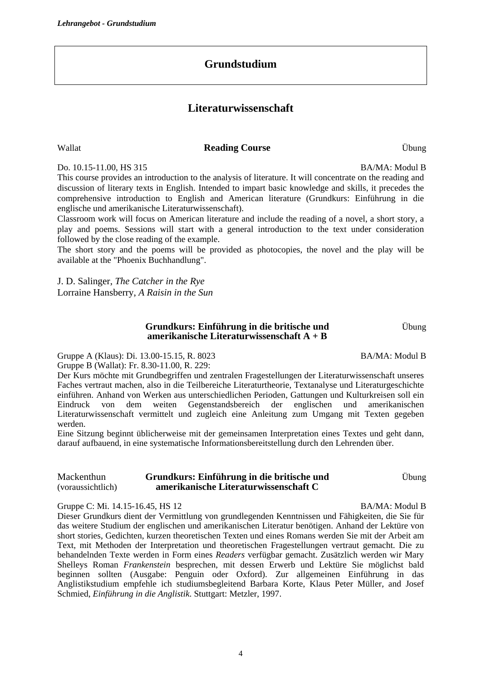# **Grundstudium**

# **Literaturwissenschaft**

#### Wallat **Reading Course** Übung

Do. 10.15-11.00, HS 315 BA/MA: Modul B

This course provides an introduction to the analysis of literature. It will concentrate on the reading and discussion of literary texts in English. Intended to impart basic knowledge and skills, it precedes the comprehensive introduction to English and American literature (Grundkurs: Einführung in die englische und amerikanische Literaturwissenschaft).

Classroom work will focus on American literature and include the reading of a novel, a short story, a play and poems. Sessions will start with a general introduction to the text under consideration followed by the close reading of the example.

The short story and the poems will be provided as photocopies, the novel and the play will be available at the "Phoenix Buchhandlung".

J. D. Salinger, *The Catcher in the Rye* Lorraine Hansberry, *A Raisin in the Sun*

#### **Grundkurs: Einführung in die britische und amerikanische Literaturwissenschaft A + B**

Gruppe A (Klaus): Di. 13.00-15.15, R. 8023 Gruppe B (Wallat): Fr. 8.30-11.00, R. 229:

Der Kurs möchte mit Grundbegriffen und zentralen Fragestellungen der Literaturwissenschaft unseres Faches vertraut machen, also in die Teilbereiche Literaturtheorie, Textanalyse und Literaturgeschichte einführen. Anhand von Werken aus unterschiedlichen Perioden, Gattungen und Kulturkreisen soll ein Eindruck von dem weiten Gegenstandsbereich der englischen und amerikanischen Literaturwissenschaft vermittelt und zugleich eine Anleitung zum Umgang mit Texten gegeben werden.

Eine Sitzung beginnt üblicherweise mit der gemeinsamen Interpretation eines Textes und geht dann, darauf aufbauend, in eine systematische Informationsbereitstellung durch den Lehrenden über.

Mackenthun (voraussichtlich) **Grundkurs: Einführung in die britische und amerikanische Literaturwissenschaft C** 

Gruppe C: Mi. 14.15-16.45, HS 12 BA/MA: Modul B

Dieser Grundkurs dient der Vermittlung von grundlegenden Kenntnissen und Fähigkeiten, die Sie für das weitere Studium der englischen und amerikanischen Literatur benötigen. Anhand der Lektüre von short stories, Gedichten, kurzen theoretischen Texten und eines Romans werden Sie mit der Arbeit am Text, mit Methoden der Interpretation und theoretischen Fragestellungen vertraut gemacht. Die zu behandelnden Texte werden in Form eines *Readers* verfügbar gemacht. Zusätzlich werden wir Mary Shelleys Roman *Frankenstein* besprechen, mit dessen Erwerb und Lektüre Sie möglichst bald beginnen sollten (Ausgabe: Penguin oder Oxford). Zur allgemeinen Einführung in das Anglistikstudium empfehle ich studiumsbegleitend Barbara Korte, Klaus Peter Müller, and Josef Schmied, *Einführung in die Anglistik*. Stuttgart: Metzler, 1997.

Übung

BA/MA: Modul B

Übung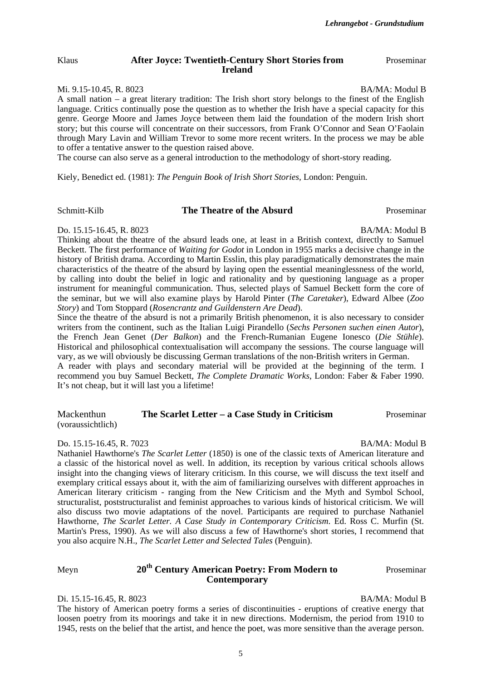*Lehrangebot - Grundstudium*

Proseminar

#### Klaus **After Joyce: Twentieth-Century Short Stories from Ireland**

#### Mi. 9.15-10.45, R. 8023 BA/MA: Modul B

A small nation – a great literary tradition: The Irish short story belongs to the finest of the English language. Critics continually pose the question as to whether the Irish have a special capacity for this genre. George Moore and James Joyce between them laid the foundation of the modern Irish short story; but this course will concentrate on their successors, from Frank O'Connor and Sean O'Faolain through Mary Lavin and William Trevor to some more recent writers. In the process we may be able to offer a tentative answer to the question raised above.

The course can also serve as a general introduction to the methodology of short-story reading.

Kiely, Benedict ed. (1981): *The Penguin Book of Irish Short Stories,* London: Penguin.

#### Schmitt-Kilb **The Theatre of the Absurd** Proseminar

Do. 15.15-16.45, R. 8023 BA/MA: Modul B

Thinking about the theatre of the absurd leads one, at least in a British context, directly to Samuel Beckett. The first performance of *Waiting for Godot* in London in 1955 marks a decisive change in the history of British drama. According to Martin Esslin, this play paradigmatically demonstrates the main characteristics of the theatre of the absurd by laying open the essential meaninglessness of the world, by calling into doubt the belief in logic and rationality and by questioning language as a proper instrument for meaningful communication. Thus, selected plays of Samuel Beckett form the core of the seminar, but we will also examine plays by Harold Pinter (*The Caretaker*), Edward Albee (*Zoo Story*) and Tom Stoppard (*Rosencrantz and Guildenstern Are Dead*).

Since the theatre of the absurd is not a primarily British phenomenon, it is also necessary to consider writers from the continent, such as the Italian Luigi Pirandello (*Sechs Personen suchen einen Autor*), the French Jean Genet (*Der Balkon*) and the French-Rumanian Eugene Ionesco (*Die Stühle*). Historical and philosophical contextualisation will accompany the sessions. The course language will vary, as we will obviously be discussing German translations of the non-British writers in German. A reader with plays and secondary material will be provided at the beginning of the term. I

recommend you buy Samuel Beckett, *The Complete Dramatic Works*, London: Faber & Faber 1990. It's not cheap, but it will last you a lifetime!

| Mackenthun        | The Scarlet Letter – a Case Study in Criticism | Proseminar |
|-------------------|------------------------------------------------|------------|
| (voraussichtlich) |                                                |            |

#### Do. 15.15-16.45, R. 7023 BA/MA: Modul B

Nathaniel Hawthorne's *The Scarlet Letter* (1850) is one of the classic texts of American literature and a classic of the historical novel as well. In addition, its reception by various critical schools allows insight into the changing views of literary criticism. In this course, we will discuss the text itself and exemplary critical essays about it, with the aim of familiarizing ourselves with different approaches in American literary criticism - ranging from the New Criticism and the Myth and Symbol School, structuralist, poststructuralist and feminist approaches to various kinds of historical criticism. We will also discuss two movie adaptations of the novel. Participants are required to purchase Nathaniel Hawthorne, *The Scarlet Letter. A Case Study in Contemporary Criticism*. Ed. Ross C. Murfin (St. Martin's Press, 1990). As we will also discuss a few of Hawthorne's short stories, I recommend that you also acquire N.H., *The Scarlet Letter and Selected Tales* (Penguin).

#### Meyn **20th Century American Poetry: From Modern to Contemporary**

#### Di. 15.15-16.45, R. 8023 BA/MA: Modul B

The history of American poetry forms a series of discontinuities - eruptions of creative energy that loosen poetry from its moorings and take it in new directions. Modernism, the period from 1910 to 1945, rests on the belief that the artist, and hence the poet, was more sensitive than the average person.

Proseminar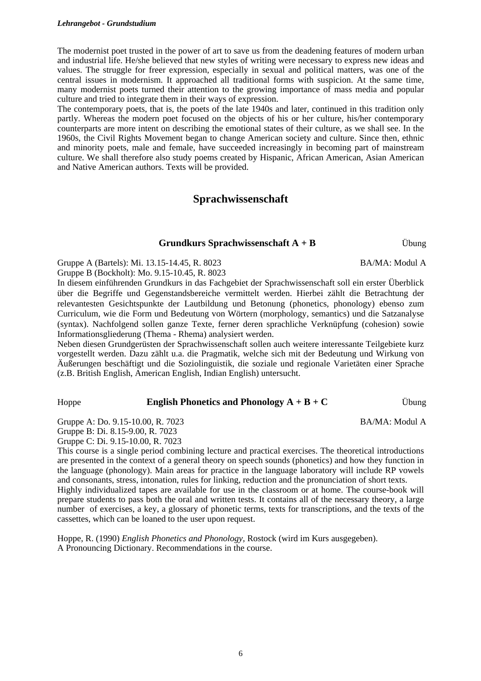#### *Lehrangebot - Grundstudium*

The modernist poet trusted in the power of art to save us from the deadening features of modern urban and industrial life. He/she believed that new styles of writing were necessary to express new ideas and values. The struggle for freer expression, especially in sexual and political matters, was one of the central issues in modernism. It approached all traditional forms with suspicion. At the same time, many modernist poets turned their attention to the growing importance of mass media and popular culture and tried to integrate them in their ways of expression.

The contemporary poets, that is, the poets of the late 1940s and later, continued in this tradition only partly. Whereas the modern poet focused on the objects of his or her culture, his/her contemporary counterparts are more intent on describing the emotional states of their culture, as we shall see. In the 1960s, the Civil Rights Movement began to change American society and culture. Since then, ethnic and minority poets, male and female, have succeeded increasingly in becoming part of mainstream culture. We shall therefore also study poems created by Hispanic, African American, Asian American and Native American authors. Texts will be provided.

### **Sprachwissenschaft**

#### **Grundkurs Sprachwissenschaft A + B** Übung

Gruppe A (Bartels): Mi. 13.15-14.45, R. 8023

Gruppe B (Bockholt): Mo. 9.15-10.45, R. 8023 In diesem einführenden Grundkurs in das Fachgebiet der Sprachwissenschaft soll ein erster Überblick über die Begriffe und Gegenstandsbereiche vermittelt werden. Hierbei zählt die Betrachtung der relevantesten Gesichtspunkte der Lautbildung und Betonung (phonetics, phonology) ebenso zum Curriculum, wie die Form und Bedeutung von Wörtern (morphology, semantics) und die Satzanalyse (syntax). Nachfolgend sollen ganze Texte, ferner deren sprachliche Verknüpfung (cohesion) sowie Informationsgliederung (Thema - Rhema) analysiert werden.

Neben diesen Grundgerüsten der Sprachwissenschaft sollen auch weitere interessante Teilgebiete kurz vorgestellt werden. Dazu zählt u.a. die Pragmatik, welche sich mit der Bedeutung und Wirkung von Äußerungen beschäftigt und die Soziolinguistik, die soziale und regionale Varietäten einer Sprache (z.B. British English, American English, Indian English) untersucht.

#### Hoppe **English Phonetics and Phonology A + B + C** Ubung

Gruppe A: Do. 9.15-10.00, R. 7023

Gruppe B: Di. 8.15-9.00, R. 7023

Gruppe C: Di. 9.15-10.00, R. 7023

This course is a single period combining lecture and practical exercises. The theoretical introductions are presented in the context of a general theory on speech sounds (phonetics) and how they function in the language (phonology). Main areas for practice in the language laboratory will include RP vowels and consonants, stress, intonation, rules for linking, reduction and the pronunciation of short texts. Highly individualized tapes are available for use in the classroom or at home. The course-book will prepare students to pass both the oral and written tests. It contains all of the necessary theory, a large number of exercises, a key, a glossary of phonetic terms, texts for transcriptions, and the texts of the cassettes, which can be loaned to the user upon request.

Hoppe, R. (1990) *English Phonetics and Phonology,* Rostock (wird im Kurs ausgegeben). A Pronouncing Dictionary. Recommendations in the course.

BA/MA: Modul A

BA/MA: Modul A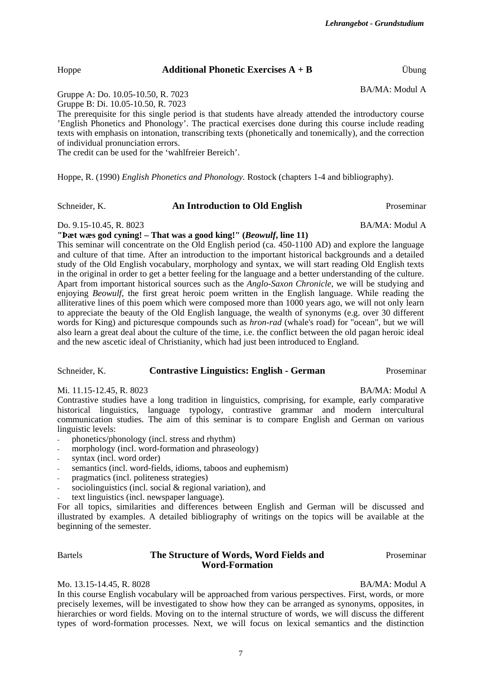7

The prerequisite for this single period is that students have already attended the introductory course 'English Phonetics and Phonology'. The practical exercises done during this course include reading texts with emphasis on intonation, transcribing texts (phonetically and tonemically), and the correction

Gruppe A: Do. 10.05-10.50, R. 7023 Gruppe B: Di. 10.05-10.50, R. 7023

of individual pronunciation errors. The credit can be used for the 'wahlfreier Bereich'.

Hoppe, R. (1990) *English Phonetics and Phonology.* Rostock (chapters 1-4 and bibliography).

Hoppe **Additional Phonetic Exercises A + B** Übung

Schneider, K. **An Introduction to Old English** Proseminar

Do. 9.15-10.45, R. 8023 BA/MA: Modul A

**"Þæt wæs god cyning! – That was a good king!" (***Beowulf***, line 11)** 

This seminar will concentrate on the Old English period (ca. 450-1100 AD) and explore the language and culture of that time. After an introduction to the important historical backgrounds and a detailed study of the Old English vocabulary, morphology and syntax, we will start reading Old English texts in the original in order to get a better feeling for the language and a better understanding of the culture. Apart from important historical sources such as the *Anglo-Saxon Chronicle*, we will be studying and enjoying *Beowulf*, the first great heroic poem written in the English language. While reading the alliterative lines of this poem which were composed more than 1000 years ago, we will not only learn to appreciate the beauty of the Old English language, the wealth of synonyms (e.g. over 30 different words for King) and picturesque compounds such as *hron-rad* (whale's road) for "ocean", but we will also learn a great deal about the culture of the time, i.e. the conflict between the old pagan heroic ideal and the new ascetic ideal of Christianity, which had just been introduced to England.

#### Schneider, K. **Contrastive Linguistics: English - German** Proseminar

Mi. 11.15-12.45, R. 8023 BA/MA: Modul A

Contrastive studies have a long tradition in linguistics, comprising, for example, early comparative historical linguistics, language typology, contrastive grammar and modern intercultural communication studies. The aim of this seminar is to compare English and German on various linguistic levels:

- phonetics/phonology (incl. stress and rhythm)
- morphology (incl. word-formation and phraseology)
- syntax (incl. word order)
- semantics (incl. word-fields, idioms, taboos and euphemism)
- pragmatics (incl. politeness strategies)
- sociolinguistics (incl. social  $&$  regional variation), and
- text linguistics (incl. newspaper language).

For all topics, similarities and differences between English and German will be discussed and illustrated by examples. A detailed bibliography of writings on the topics will be available at the beginning of the semester.

#### Bartels **The Structure of Words, Word Fields and Word-Formation**

Mo. 13.15-14.45, R. 8028 BA/MA: Modul A

In this course English vocabulary will be approached from various perspectives. First, words, or more precisely lexemes, will be investigated to show how they can be arranged as synonyms, opposites, in hierarchies or word fields. Moving on to the internal structure of words, we will discuss the different types of word-formation processes. Next, we will focus on lexical semantics and the distinction

BA/MA: Modul A

Proseminar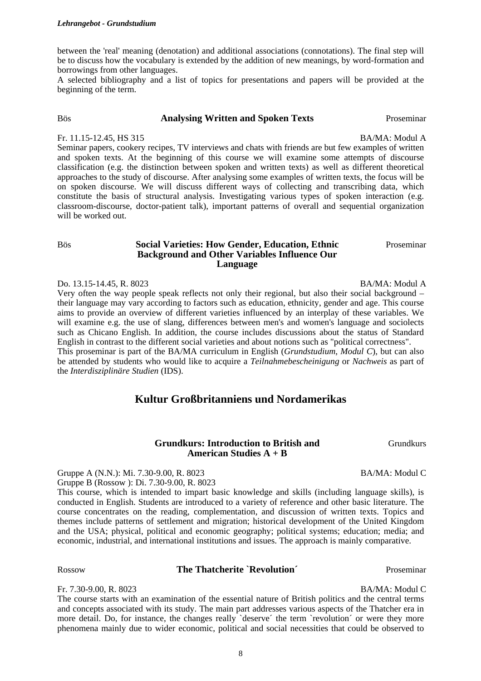between the 'real' meaning (denotation) and additional associations (connotations). The final step will be to discuss how the vocabulary is extended by the addition of new meanings, by word-formation and borrowings from other languages.

A selected bibliography and a list of topics for presentations and papers will be provided at the beginning of the term.

#### Bös **Analysing Written and Spoken Texts** Proseminar

Fr. 11.15-12.45, HS 315 BA/MA: Modul A

Seminar papers, cookery recipes, TV interviews and chats with friends are but few examples of written and spoken texts. At the beginning of this course we will examine some attempts of discourse classification (e.g. the distinction between spoken and written texts) as well as different theoretical approaches to the study of discourse. After analysing some examples of written texts, the focus will be on spoken discourse. We will discuss different ways of collecting and transcribing data, which constitute the basis of structural analysis. Investigating various types of spoken interaction (e.g. classroom-discourse, doctor-patient talk), important patterns of overall and sequential organization will be worked out.

#### Bös **Social Varieties: How Gender, Education, Ethnic Background and Other Variables Influence Our Language**

#### Do. 13.15-14.45, R. 8023 BA/MA: Modul A

Very often the way people speak reflects not only their regional, but also their social background – their language may vary according to factors such as education, ethnicity, gender and age. This course aims to provide an overview of different varieties influenced by an interplay of these variables. We will examine e.g. the use of slang, differences between men's and women's language and sociolects such as Chicano English. In addition, the course includes discussions about the status of Standard English in contrast to the different social varieties and about notions such as "political correctness". This proseminar is part of the BA/MA curriculum in English (*Grundstudium*, *Modul C*), but can also be attended by students who would like to acquire a *Teilnahmebescheinigung* or *Nachweis* as part of the *Interdisziplinäre Studien* (IDS).

#### **Kultur Großbritanniens und Nordamerikas**

#### **Grundkurs: Introduction to British and American Studies A + B**

Gruppe A (N.N.): Mi. 7.30-9.00, R. 8023 Gruppe B (Rossow ): Di. 7.30-9.00, R. 8023

This course, which is intended to impart basic knowledge and skills (including language skills), is conducted in English. Students are introduced to a variety of reference and other basic literature. The course concentrates on the reading, complementation, and discussion of written texts. Topics and themes include patterns of settlement and migration; historical development of the United Kingdom and the USA; physical, political and economic geography; political systems; education; media; and economic, industrial, and international institutions and issues. The approach is mainly comparative.

#### Rossow **The Thatcherite `Revolution The Thatcherite `Revolution Proseminar**

#### Fr. 7.30-9.00, R. 8023 BA/MA: Modul C

The course starts with an examination of the essential nature of British politics and the central terms and concepts associated with its study. The main part addresses various aspects of the Thatcher era in more detail. Do, for instance, the changes really `deserve' the term `revolution' or were they more phenomena mainly due to wider economic, political and social necessities that could be observed to

Proseminar

Grundkurs

BA/MA: Modul C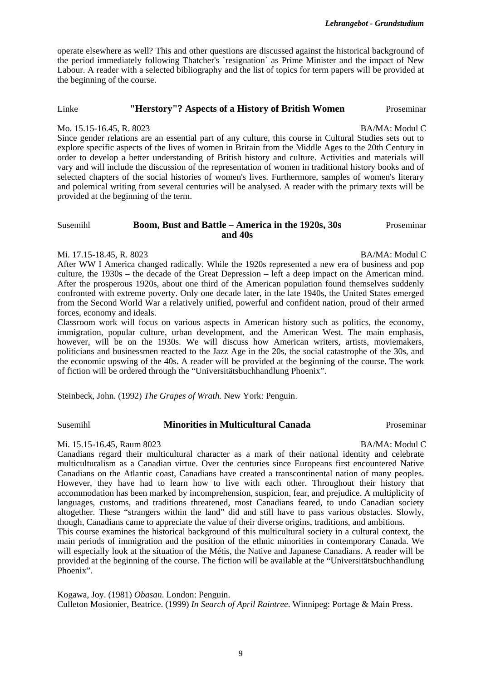*Lehrangebot - Grundstudium*

operate elsewhere as well? This and other questions are discussed against the historical background of the period immediately following Thatcher's `resignation´ as Prime Minister and the impact of New Labour. A reader with a selected bibliography and the list of topics for term papers will be provided at the beginning of the course.

#### Linke **"Herstory"? Aspects of a History of British Women** Proseminar

#### Mo. 15.15-16.45, R. 8023 BA/MA: Modul C

Since gender relations are an essential part of any culture, this course in Cultural Studies sets out to explore specific aspects of the lives of women in Britain from the Middle Ages to the 20th Century in order to develop a better understanding of British history and culture. Activities and materials will vary and will include the discussion of the representation of women in traditional history books and of selected chapters of the social histories of women's lives. Furthermore, samples of women's literary and polemical writing from several centuries will be analysed. A reader with the primary texts will be provided at the beginning of the term.

#### Susemihl **Boom, Bust and Battle – America in the 1920s, 30s and 40s** Proseminar

#### Mi. 17.15-18.45, R. 8023 BA/MA: Modul C

After WW I America changed radically. While the 1920s represented a new era of business and pop culture, the 1930s – the decade of the Great Depression – left a deep impact on the American mind. After the prosperous 1920s, about one third of the American population found themselves suddenly confronted with extreme poverty. Only one decade later, in the late 1940s, the United States emerged from the Second World War a relatively unified, powerful and confident nation, proud of their armed forces, economy and ideals.

Classroom work will focus on various aspects in American history such as politics, the economy, immigration, popular culture, urban development, and the American West. The main emphasis, however, will be on the 1930s. We will discuss how American writers, artists, moviemakers, politicians and businessmen reacted to the Jazz Age in the 20s, the social catastrophe of the 30s, and the economic upswing of the 40s. A reader will be provided at the beginning of the course. The work of fiction will be ordered through the "Universitätsbuchhandlung Phoenix".

Steinbeck, John. (1992) *The Grapes of Wrath.* New York: Penguin.

Phoenix".

#### Susemihl **Minorities in Multicultural Canada** Proseminar

#### Mi. 15.15-16.45, Raum 8023 BA/MA: Modul C

Canadians regard their multicultural character as a mark of their national identity and celebrate multiculturalism as a Canadian virtue. Over the centuries since Europeans first encountered Native Canadians on the Atlantic coast, Canadians have created a transcontinental nation of many peoples. However, they have had to learn how to live with each other. Throughout their history that accommodation has been marked by incomprehension, suspicion, fear, and prejudice. A multiplicity of languages, customs, and traditions threatened, most Canadians feared, to undo Canadian society altogether. These "strangers within the land" did and still have to pass various obstacles. Slowly, though, Canadians came to appreciate the value of their diverse origins, traditions, and ambitions. This course examines the historical background of this multicultural society in a cultural context, the main periods of immigration and the position of the ethnic minorities in contemporary Canada. We will especially look at the situation of the Métis, the Native and Japanese Canadians. A reader will be provided at the beginning of the course. The fiction will be available at the "Universitätsbuchhandlung

Kogawa, Joy. (1981) *Obasan*. London: Penguin. Culleton Mosionier, Beatrice. (1999) *In Search of April Raintree*. Winnipeg: Portage & Main Press.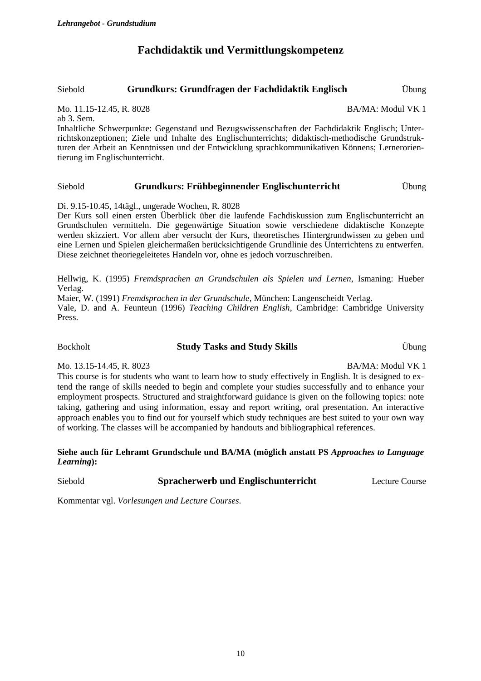# **Fachdidaktik und Vermittlungskompetenz**

#### Siebold **Grundkurs: Grundfragen der Fachdidaktik Englisch** Übung

Mo. 11.15-12.45, R. 8028 BA/MA: Modul VK 1

ab 3. Sem.

Inhaltliche Schwerpunkte: Gegenstand und Bezugswissenschaften der Fachdidaktik Englisch; Unterrichtskonzeptionen; Ziele und Inhalte des Englischunterrichts; didaktisch-methodische Grundstrukturen der Arbeit an Kenntnissen und der Entwicklung sprachkommunikativen Könnens; Lernerorientierung im Englischunterricht.

#### Siebold **Grundkurs: Frühbeginnender Englischunterricht** Übung

Di. 9.15-10.45, 14tägl., ungerade Wochen, R. 8028

Der Kurs soll einen ersten Überblick über die laufende Fachdiskussion zum Englischunterricht an Grundschulen vermitteln. Die gegenwärtige Situation sowie verschiedene didaktische Konzepte werden skizziert. Vor allem aber versucht der Kurs, theoretisches Hintergrundwissen zu geben und eine Lernen und Spielen gleichermaßen berücksichtigende Grundlinie des Unterrichtens zu entwerfen. Diese zeichnet theoriegeleitetes Handeln vor, ohne es jedoch vorzuschreiben.

Hellwig, K. (1995) *Fremdsprachen an Grundschulen als Spielen und Lernen*, Ismaning: Hueber Verlag.

Maier, W. (1991) *Fremdsprachen in der Grundschule*, München: Langenscheidt Verlag.

Vale, D. and A. Feunteun (1996) *Teaching Children English*, Cambridge: Cambridge University Press.

#### Bockholt **Study Tasks and Study Skills** Übung

Mo. 13.15-14.45, R. 8023 BA/MA: Modul VK 1

This course is for students who want to learn how to study effectively in English. It is designed to extend the range of skills needed to begin and complete your studies successfully and to enhance your employment prospects. Structured and straightforward guidance is given on the following topics: note taking, gathering and using information, essay and report writing, oral presentation. An interactive approach enables you to find out for yourself which study techniques are best suited to your own way of working. The classes will be accompanied by handouts and bibliographical references.

#### **Siehe auch für Lehramt Grundschule und BA/MA (möglich anstatt PS** *Approaches to Language Learning***):**

Siebold **Spracherwerb und Englischunterricht** Lecture Course

Kommentar vgl. *Vorlesungen und Lecture Courses*.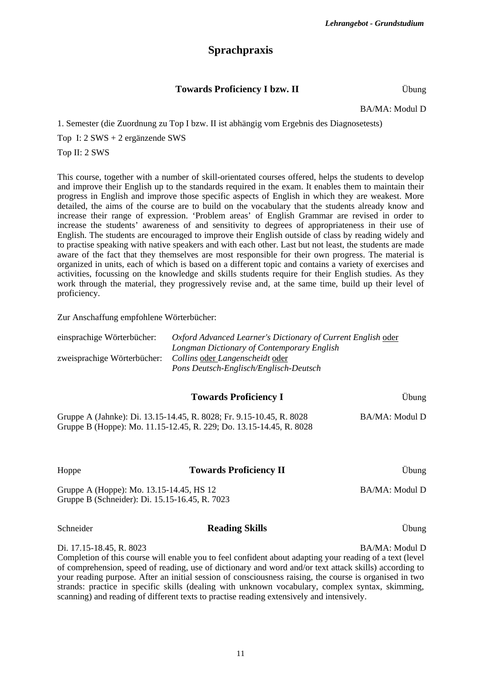# **Sprachpraxis**

#### **Towards Proficiency I bzw. II** *Übung*

BA/MA: Modul D

1. Semester (die Zuordnung zu Top I bzw. II ist abhängig vom Ergebnis des Diagnosetests)

Top I: 2 SWS + 2 ergänzende SWS

Top II: 2 SWS

This course, together with a number of skill-orientated courses offered, helps the students to develop and improve their English up to the standards required in the exam. It enables them to maintain their progress in English and improve those specific aspects of English in which they are weakest. More detailed, the aims of the course are to build on the vocabulary that the students already know and increase their range of expression. 'Problem areas' of English Grammar are revised in order to increase the students' awareness of and sensitivity to degrees of appropriateness in their use of English. The students are encouraged to improve their English outside of class by reading widely and to practise speaking with native speakers and with each other. Last but not least, the students are made aware of the fact that they themselves are most responsible for their own progress. The material is organized in units, each of which is based on a different topic and contains a variety of exercises and activities, focussing on the knowledge and skills students require for their English studies. As they work through the material, they progressively revise and, at the same time, build up their level of proficiency.

Zur Anschaffung empfohlene Wörterbücher:

| einsprachige Wörterbücher:  | <i>Oxford Advanced Learner's Dictionary of Current English oder</i> |
|-----------------------------|---------------------------------------------------------------------|
|                             | Longman Dictionary of Contemporary English                          |
| zweisprachige Wörterbücher: | Collins oder Langenscheidt oder                                     |
|                             | Pons Deutsch-Englisch/Englisch-Deutsch                              |

| <b>Towards Proficiency I</b>                                                                                                                | Übung          |
|---------------------------------------------------------------------------------------------------------------------------------------------|----------------|
| Gruppe A (Jahnke): Di. 13.15-14.45, R. 8028; Fr. 9.15-10.45, R. 8028<br>Gruppe B (Hoppe): Mo. 11.15-12.45, R. 229; Do. 13.15-14.45, R. 8028 | BA/MA: Modul D |

| Hoppe                                                                                      | <b>Towards Proficiency II</b> | <b>Ubung</b>   |
|--------------------------------------------------------------------------------------------|-------------------------------|----------------|
| Gruppe A (Hoppe): Mo. 13.15-14.45, HS 12<br>Gruppe B (Schneider): Di. 15.15-16.45, R. 7023 |                               | BA/MA: Modul D |

#### Schneider **Reading Skills** Übung

Di. 17.15-18.45, R. 8023 BA/MA: Modul D

Completion of this course will enable you to feel confident about adapting your reading of a text (level of comprehension, speed of reading, use of dictionary and word and/or text attack skills) according to your reading purpose. After an initial session of consciousness raising, the course is organised in two strands: practice in specific skills (dealing with unknown vocabulary, complex syntax, skimming, scanning) and reading of different texts to practise reading extensively and intensively.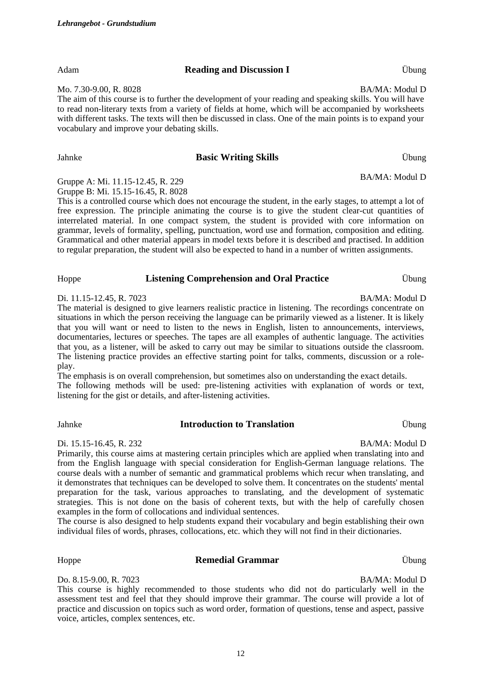Mo. 7.30-9.00, R. 8028 BA/MA: Modul D

The aim of this course is to further the development of your reading and speaking skills. You will have to read non-literary texts from a variety of fields at home, which will be accompanied by worksheets with different tasks. The texts will then be discussed in class. One of the main points is to expand your vocabulary and improve your debating skills.

#### Jahnke **Basic Writing Skills** Übung

Gruppe A: Mi. 11.15-12.45, R. 229 Gruppe B: Mi. 15.15-16.45, R. 8028

This is a controlled course which does not encourage the student, in the early stages, to attempt a lot of free expression. The principle animating the course is to give the student clear-cut quantities of interrelated material. In one compact system, the student is provided with core information on grammar, levels of formality, spelling, punctuation, word use and formation, composition and editing. Grammatical and other material appears in model texts before it is described and practised. In addition to regular preparation, the student will also be expected to hand in a number of written assignments.

#### Hoppe **Listening Comprehension and Oral Practice** Übung

Di. 11.15-12.45, R. 7023 BA/MA: Modul D

The material is designed to give learners realistic practice in listening. The recordings concentrate on situations in which the person receiving the language can be primarily viewed as a listener. It is likely that you will want or need to listen to the news in English, listen to announcements, interviews, documentaries, lectures or speeches. The tapes are all examples of authentic language. The activities that you, as a listener, will be asked to carry out may be similar to situations outside the classroom. The listening practice provides an effective starting point for talks, comments, discussion or a roleplay.

The emphasis is on overall comprehension, but sometimes also on understanding the exact details. The following methods will be used: pre-listening activities with explanation of words or text, listening for the gist or details, and after-listening activities.

#### Jahnke **Introduction to Translation** Übung

Di. 15.15-16.45, R. 232 BA/MA: Modul D

Primarily, this course aims at mastering certain principles which are applied when translating into and from the English language with special consideration for English-German language relations. The course deals with a number of semantic and grammatical problems which recur when translating, and it demonstrates that techniques can be developed to solve them. It concentrates on the students' mental preparation for the task, various approaches to translating, and the development of systematic strategies. This is not done on the basis of coherent texts, but with the help of carefully chosen examples in the form of collocations and individual sentences.

The course is also designed to help students expand their vocabulary and begin establishing their own individual files of words, phrases, collocations, etc. which they will not find in their dictionaries.

#### Hoppe **Remedial Grammar** Übung

Do. 8.15-9.00, R. 7023 BA/MA: Modul D

This course is highly recommended to those students who did not do particularly well in the assessment test and feel that they should improve their grammar. The course will provide a lot of practice and discussion on topics such as word order, formation of questions, tense and aspect, passive voice, articles, complex sentences, etc.

BA/MA: Modul D

Adam **Reading and Discussion I** Ubung

*Lehrangebot - Grundstudium*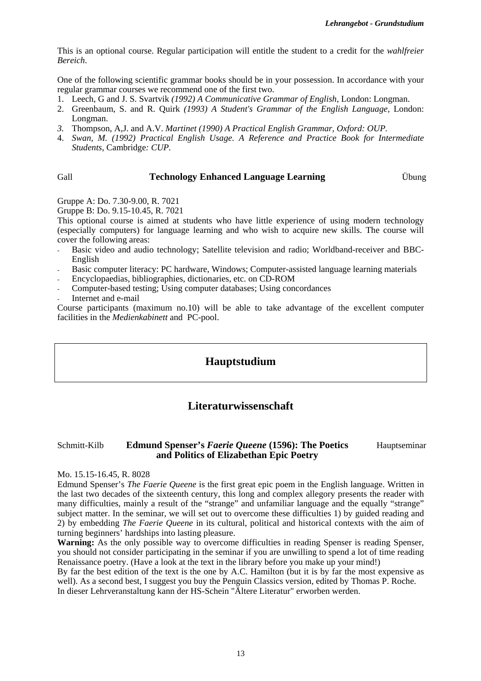This is an optional course. Regular participation will entitle the student to a credit for the *wahlfreier Bereich*.

One of the following scientific grammar books should be in your possession. In accordance with your regular grammar courses we recommend one of the first two.

- 1. Leech, G and J. S. Svartvik *(1992) A Communicative Grammar of English*, London: Longman.
- 2. Greenbaum, S. and R. Quirk *(1993) A Student's Grammar of the English Language,* London: Longman.
- *3.* Thompson, A,J. and A.V. *Martinet (1990) A Practical English Grammar, Oxford: OUP.*
- 4. *Swan, M. (1992) Practical English Usage. A Reference and Practice Book for Intermediate Students,* Cambridge*: CUP.*

#### Gall **Technology Enhanced Language Learning** Übung

Gruppe A: Do. 7.30-9.00, R. 7021

Gruppe B: Do. 9.15-10.45, R. 7021

This optional course is aimed at students who have little experience of using modern technology (especially computers) for language learning and who wish to acquire new skills. The course will cover the following areas:

- Basic video and audio technology; Satellite television and radio; Worldband-receiver and BBC-English
- Basic computer literacy: PC hardware, Windows; Computer-assisted language learning materials
- Encyclopaedias, bibliographies, dictionaries, etc. on CD-ROM
- Computer-based testing; Using computer databases; Using concordances
- Internet and e-mail

Course participants (maximum no.10) will be able to take advantage of the excellent computer facilities in the *Medienkabinett* and PC-pool.

#### **Hauptstudium**

### **Literaturwissenschaft**

#### Schmitt-Kilb **Edmund Spenser's** *Faerie Queene* **(1596): The Poetics and Politics of Elizabethan Epic Poetry** Hauptseminar

Mo. 15.15-16.45, R. 8028

Edmund Spenser's *The Faerie Queene* is the first great epic poem in the English language. Written in the last two decades of the sixteenth century, this long and complex allegory presents the reader with many difficulties, mainly a result of the "strange" and unfamiliar language and the equally "strange" subject matter. In the seminar, we will set out to overcome these difficulties 1) by guided reading and 2) by embedding *The Faerie Queene* in its cultural, political and historical contexts with the aim of turning beginners' hardships into lasting pleasure.

**Warning:** As the only possible way to overcome difficulties in reading Spenser is reading Spenser. you should not consider participating in the seminar if you are unwilling to spend a lot of time reading Renaissance poetry. (Have a look at the text in the library before you make up your mind!)

By far the best edition of the text is the one by A.C. Hamilton (but it is by far the most expensive as well). As a second best, I suggest you buy the Penguin Classics version, edited by Thomas P. Roche. In dieser Lehrveranstaltung kann der HS-Schein "Ältere Literatur" erworben werden.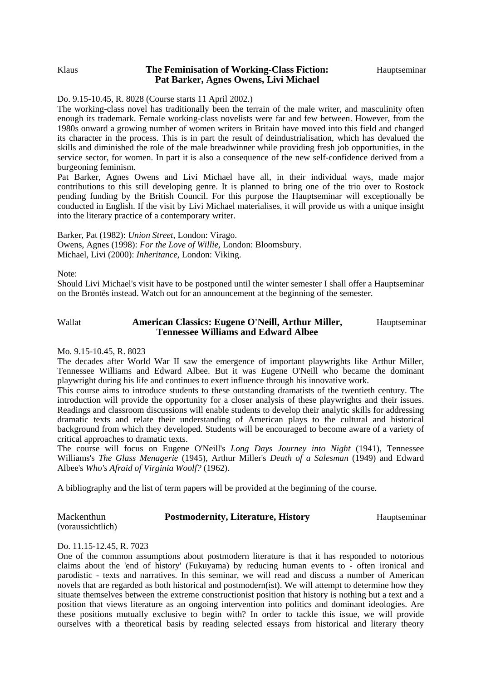#### Klaus **The Feminisation of Working-Class Fiction: Pat Barker, Agnes Owens, Livi Michael**

#### Do. 9.15-10.45, R. 8028 (Course starts 11 April 2002.)

The working-class novel has traditionally been the terrain of the male writer, and masculinity often enough its trademark. Female working-class novelists were far and few between. However, from the 1980s onward a growing number of women writers in Britain have moved into this field and changed its character in the process. This is in part the result of deindustrialisation, which has devalued the skills and diminished the role of the male breadwinner while providing fresh job opportunities, in the service sector, for women. In part it is also a consequence of the new self-confidence derived from a burgeoning feminism.

Pat Barker, Agnes Owens and Livi Michael have all, in their individual ways, made major contributions to this still developing genre. It is planned to bring one of the trio over to Rostock pending funding by the British Council. For this purpose the Hauptseminar will exceptionally be conducted in English. If the visit by Livi Michael materialises, it will provide us with a unique insight into the literary practice of a contemporary writer.

Barker, Pat (1982): *Union Street*, London: Virago. Owens, Agnes (1998): *For the Love of Willie,* London: Bloomsbury. Michael, Livi (2000): *Inheritance*, London: Viking.

Note:

Should Livi Michael's visit have to be postponed until the winter semester I shall offer a Hauptseminar on the Brontës instead. Watch out for an announcement at the beginning of the semester.

#### Wallat **American Classics: Eugene O'Neill, Arthur Miller, Tennessee Williams and Edward Albee**  Hauptseminar

#### Mo. 9.15-10.45, R. 8023

The decades after World War II saw the emergence of important playwrights like Arthur Miller, Tennessee Williams and Edward Albee. But it was Eugene O'Neill who became the dominant playwright during his life and continues to exert influence through his innovative work.

This course aims to introduce students to these outstanding dramatists of the twentieth century. The introduction will provide the opportunity for a closer analysis of these playwrights and their issues. Readings and classroom discussions will enable students to develop their analytic skills for addressing dramatic texts and relate their understanding of American plays to the cultural and historical background from which they developed. Students will be encouraged to become aware of a variety of critical approaches to dramatic texts.

The course will focus on Eugene O'Neill's *Long Days Journey into Night* (1941), Tennessee Williams's *The Glass Menagerie* (1945), Arthur Miller's *Death of a Salesman* (1949) and Edward Albee's *Who's Afraid of Virginia Woolf?* (1962).

A bibliography and the list of term papers will be provided at the beginning of the course.

Mackenthun (voraussichtlich)

#### **Postmodernity, Literature, History Hauptseminar**

#### Do. 11.15-12.45, R. 7023

One of the common assumptions about postmodern literature is that it has responded to notorious claims about the 'end of history' (Fukuyama) by reducing human events to - often ironical and parodistic - texts and narratives. In this seminar, we will read and discuss a number of American novels that are regarded as both historical and postmodern(ist). We will attempt to determine how they situate themselves between the extreme constructionist position that history is nothing but a text and a position that views literature as an ongoing intervention into politics and dominant ideologies. Are these positions mutually exclusive to begin with? In order to tackle this issue, we will provide ourselves with a theoretical basis by reading selected essays from historical and literary theory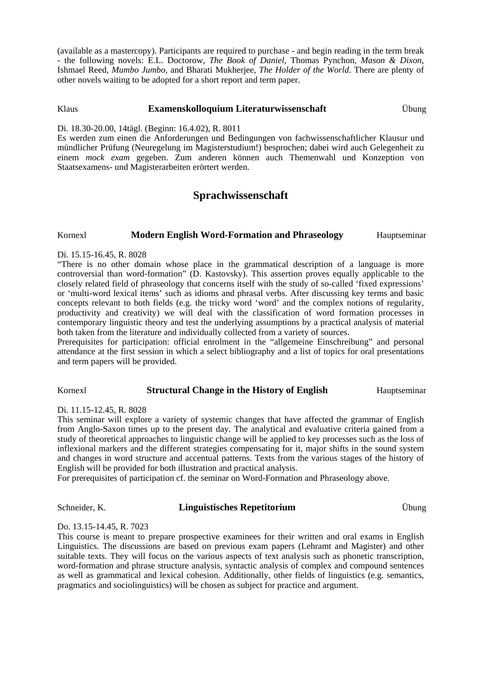(available as a mastercopy). Participants are required to purchase - and begin reading in the term break - the following novels: E.L. Doctorow, *The Book of Daniel*, Thomas Pynchon, *Mason & Dixon*, Ishmael Reed, *Mumbo Jumbo*, and Bharati Mukherjee, *The Holder of the World*. There are plenty of other novels waiting to be adopted for a short report and term paper.

#### Klaus **Examenskolloquium Literaturwissenschaft** Übung

Di. 18.30-20.00, 14tägl. (Beginn: 16.4.02), R. 8011

Es werden zum einen die Anforderungen und Bedingungen von fachwissenschaftlicher Klausur und mündlicher Prüfung (Neuregelung im Magisterstudium!) besprochen; dabei wird auch Gelegenheit zu einem *mock exam* gegeben. Zum anderen können auch Themenwahl und Konzeption von Staatsexamens- und Magisterarbeiten erörtert werden.

### **Sprachwissenschaft**

#### Kornexl **Modern English Word-Formation and Phraseology** Hauptseminar

#### Di. 15.15-16.45, R. 8028

"There is no other domain whose place in the grammatical description of a language is more controversial than word-formation" (D. Kastovsky). This assertion proves equally applicable to the closely related field of phraseology that concerns itself with the study of so-called 'fixed expressions' or 'multi-word lexical items' such as idioms and phrasal verbs. After discussing key terms and basic concepts relevant to both fields (e.g. the tricky word 'word' and the complex notions of regularity, productivity and creativity) we will deal with the classification of word formation processes in contemporary linguistic theory and test the underlying assumptions by a practical analysis of material both taken from the literature and individually collected from a variety of sources.

Prerequisites for participation: official enrolment in the "allgemeine Einschreibung" and personal attendance at the first session in which a select bibliography and a list of topics for oral presentations and term papers will be provided.

#### Kornexl **Structural Change in the History of English** Hauptseminar

Di. 11.15-12.45, R. 8028

This seminar will explore a variety of systemic changes that have affected the grammar of English from Anglo-Saxon times up to the present day. The analytical and evaluative criteria gained from a study of theoretical approaches to linguistic change will be applied to key processes such as the loss of inflexional markers and the different strategies compensating for it, major shifts in the sound system and changes in word structure and accentual patterns. Texts from the various stages of the history of English will be provided for both illustration and practical analysis.

For prerequisites of participation cf. the seminar on Word-Formation and Phraseology above.

#### Schneider, K. **Linguistisches Repetitorium** Übung

Do. 13.15-14.45, R. 7023

This course is meant to prepare prospective examinees for their written and oral exams in English Linguistics. The discussions are based on previous exam papers (Lehramt and Magister) and other suitable texts. They will focus on the various aspects of text analysis such as phonetic transcription, word-formation and phrase structure analysis, syntactic analysis of complex and compound sentences as well as grammatical and lexical cohesion. Additionally, other fields of linguistics (e.g. semantics, pragmatics and sociolinguistics) will be chosen as subject for practice and argument.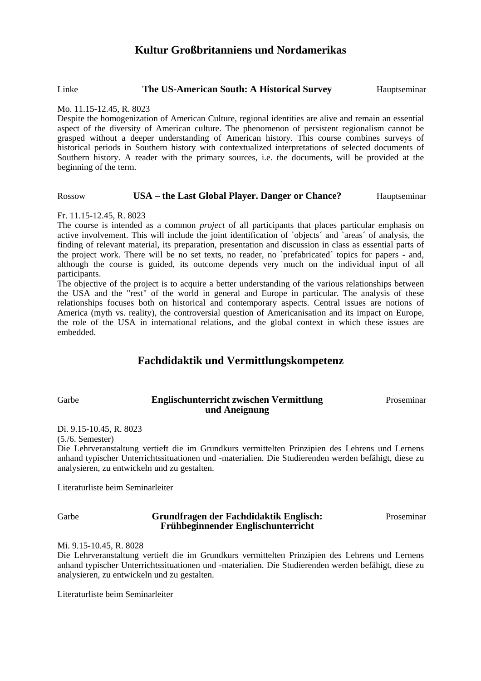### **Kultur Großbritanniens und Nordamerikas**

#### Linke **The US-American South: A Historical Survey** Hauptseminar

#### Mo. 11.15-12.45, R. 8023

Despite the homogenization of American Culture, regional identities are alive and remain an essential aspect of the diversity of American culture. The phenomenon of persistent regionalism cannot be grasped without a deeper understanding of American history. This course combines surveys of historical periods in Southern history with contextualized interpretations of selected documents of Southern history. A reader with the primary sources, i.e. the documents, will be provided at the beginning of the term.

#### Rossow **USA – the Last Global Player. Danger or Chance?** Hauptseminar

#### Fr. 11.15-12.45, R. 8023

The course is intended as a common *project* of all participants that places particular emphasis on active involvement. This will include the joint identification of `objects´ and `areas´ of analysis, the finding of relevant material, its preparation, presentation and discussion in class as essential parts of the project work. There will be no set texts, no reader, no `prefabricated´ topics for papers - and, although the course is guided, its outcome depends very much on the individual input of all participants.

The objective of the project is to acquire a better understanding of the various relationships between the USA and the "rest" of the world in general and Europe in particular. The analysis of these relationships focuses both on historical and contemporary aspects. Central issues are notions of America (myth vs. reality), the controversial question of Americanisation and its impact on Europe, the role of the USA in international relations, and the global context in which these issues are embedded.

### **Fachdidaktik und Vermittlungskompetenz**

#### Garbe **Englischunterricht zwischen Vermittlung und Aneignung**

Proseminar

Di. 9.15-10.45, R. 8023

(5./6. Semester)

Die Lehrveranstaltung vertieft die im Grundkurs vermittelten Prinzipien des Lehrens und Lernens anhand typischer Unterrichtssituationen und -materialien. Die Studierenden werden befähigt, diese zu analysieren, zu entwickeln und zu gestalten.

Literaturliste beim Seminarleiter

Garbe **Grundfragen der Fachdidaktik Englisch: Frühbeginnender Englischunterricht** 

Proseminar

Mi. 9.15-10.45, R. 8028

Die Lehrveranstaltung vertieft die im Grundkurs vermittelten Prinzipien des Lehrens und Lernens anhand typischer Unterrichtssituationen und -materialien. Die Studierenden werden befähigt, diese zu analysieren, zu entwickeln und zu gestalten.

Literaturliste beim Seminarleiter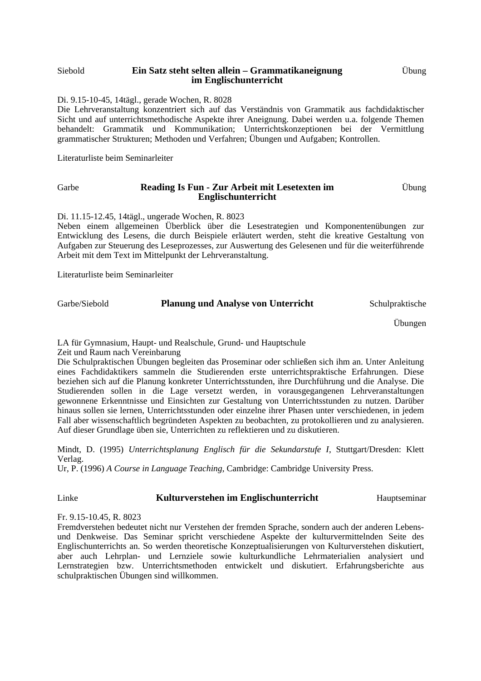#### Siebold **Ein Satz steht selten allein – Grammatikaneignung im Englischunterricht**

Di. 9.15-10-45, 14tägl., gerade Wochen, R. 8028

Die Lehrveranstaltung konzentriert sich auf das Verständnis von Grammatik aus fachdidaktischer Sicht und auf unterrichtsmethodische Aspekte ihrer Aneignung. Dabei werden u.a. folgende Themen behandelt: Grammatik und Kommunikation; Unterrichtskonzeptionen bei der Vermittlung grammatischer Strukturen; Methoden und Verfahren; Übungen und Aufgaben; Kontrollen.

Literaturliste beim Seminarleiter

#### Garbe **Reading Is Fun - Zur Arbeit mit Lesetexten im Englischunterricht**  Übung

Di. 11.15-12.45, 14tägl., ungerade Wochen, R. 8023

Neben einem allgemeinen Überblick über die Lesestrategien und Komponentenübungen zur Entwicklung des Lesens, die durch Beispiele erläutert werden, steht die kreative Gestaltung von Aufgaben zur Steuerung des Leseprozesses, zur Auswertung des Gelesenen und für die weiterführende Arbeit mit dem Text im Mittelpunkt der Lehrveranstaltung.

Literaturliste beim Seminarleiter

| Garbe/Siebold | <b>Planung und Analyse von Unterricht</b> | Schulpraktische |
|---------------|-------------------------------------------|-----------------|
|               |                                           |                 |

Übungen

LA für Gymnasium, Haupt- und Realschule, Grund- und Hauptschule Zeit und Raum nach Vereinbarung

Die Schulpraktischen Übungen begleiten das Proseminar oder schließen sich ihm an. Unter Anleitung eines Fachdidaktikers sammeln die Studierenden erste unterrichtspraktische Erfahrungen. Diese beziehen sich auf die Planung konkreter Unterrichtsstunden, ihre Durchführung und die Analyse. Die Studierenden sollen in die Lage versetzt werden, in vorausgegangenen Lehrveranstaltungen gewonnene Erkenntnisse und Einsichten zur Gestaltung von Unterrichtsstunden zu nutzen. Darüber hinaus sollen sie lernen, Unterrichtsstunden oder einzelne ihrer Phasen unter verschiedenen, in jedem Fall aber wissenschaftlich begründeten Aspekten zu beobachten, zu protokollieren und zu analysieren. Auf dieser Grundlage üben sie, Unterrichten zu reflektieren und zu diskutieren.

Mindt, D. (1995) *Unterrichtsplanung Englisch für die Sekundarstufe I*, Stuttgart/Dresden: Klett Verlag.

Ur, P. (1996) *A Course in Language Teaching*, Cambridge: Cambridge University Press.

#### Linke **Kulturverstehen im Englischunterricht** Hauptseminar

#### Fr. 9.15-10.45, R. 8023

Fremdverstehen bedeutet nicht nur Verstehen der fremden Sprache, sondern auch der anderen Lebensund Denkweise. Das Seminar spricht verschiedene Aspekte der kulturvermittelnden Seite des Englischunterrichts an. So werden theoretische Konzeptualisierungen von Kulturverstehen diskutiert, aber auch Lehrplan- und Lernziele sowie kulturkundliche Lehrmaterialien analysiert und Lernstrategien bzw. Unterrichtsmethoden entwickelt und diskutiert. Erfahrungsberichte aus schulpraktischen Übungen sind willkommen.

Übung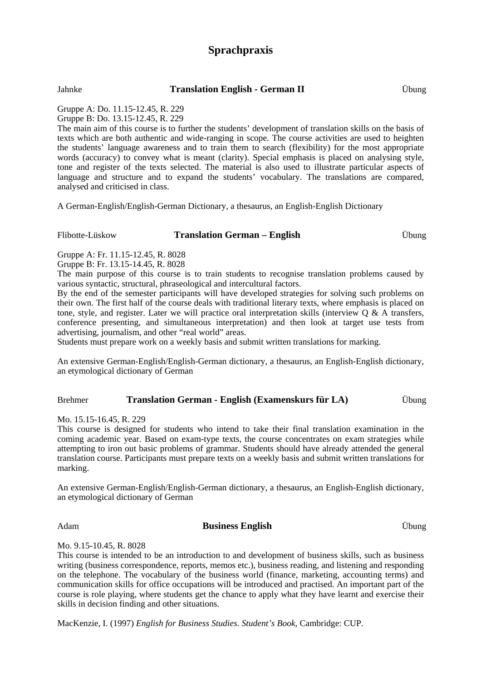# **Sprachpraxis**

Jahnke **Translation English - German II** Übung

Gruppe A: Do. 11.15-12.45, R. 229

Gruppe B: Do. 13.15-12.45, R. 229

The main aim of this course is to further the students' development of translation skills on the basis of texts which are both authentic and wide-ranging in scope. The course activities are used to heighten the students' language awareness and to train them to search (flexibility) for the most appropriate words (accuracy) to convey what is meant (clarity). Special emphasis is placed on analysing style, tone and register of the texts selected. The material is also used to illustrate particular aspects of language and structure and to expand the students' vocabulary. The translations are compared, analysed and criticised in class.

A German-English/English-German Dictionary, a thesaurus, an English-English Dictionary

#### Flibotte-Lüskow **Translation German – English** Übung

Gruppe A: Fr. 11.15-12.45, R. 8028 Gruppe B: Fr. 13.15-14.45, R. 8028

The main purpose of this course is to train students to recognise translation problems caused by various syntactic, structural, phraseological and intercultural factors.

By the end of the semester participants will have developed strategies for solving such problems on their own. The first half of the course deals with traditional literary texts, where emphasis is placed on tone, style, and register. Later we will practice oral interpretation skills (interview  $Q \& A$  transfers, conference presenting, and simultaneous interpretation) and then look at target use tests from advertising, journalism, and other "real world" areas.

Students must prepare work on a weekly basis and submit written translations for marking.

An extensive German-English/English-German dictionary, a thesaurus, an English-English dictionary, an etymological dictionary of German

#### Brehmer **Translation German - English (Examenskurs für LA)** Übung

Mo. 15.15-16.45, R. 229

This course is designed for students who intend to take their final translation examination in the coming academic year. Based on exam-type texts, the course concentrates on exam strategies while attempting to iron out basic problems of grammar. Students should have already attended the general translation course. Participants must prepare texts on a weekly basis and submit written translations for marking.

An extensive German-English/English-German dictionary, a thesaurus, an English-English dictionary, an etymological dictionary of German

#### Adam **Business English** Übung

Mo. 9.15-10.45, R. 8028

This course is intended to be an introduction to and development of business skills, such as business writing (business correspondence, reports, memos etc.), business reading, and listening and responding on the telephone. The vocabulary of the business world (finance, marketing, accounting terms) and communication skills for office occupations will be introduced and practised. An important part of the course is role playing, where students get the chance to apply what they have learnt and exercise their skills in decision finding and other situations.

MacKenzie, I. (1997) *English for Business Studies. Student's Book*, Cambridge: CUP.